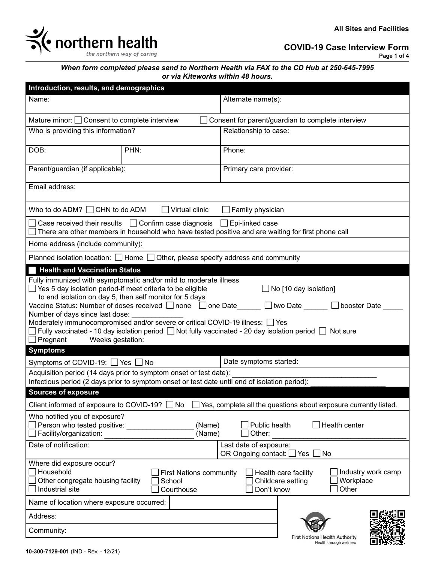

**COVID-19 Case Interview Form**

**Page 1 of 4**

*When form completed please send to Northern Health via FAX to the CD Hub at 250-645-7995 or via Kiteworks within 48 hours.*

| Introduction, results, and demographics                                                                                                                                                                                                                                                                                                                                                                                                                                                                                                                                                                                                    |                                                                                               |                                                                  |                                                                  |  |  |
|--------------------------------------------------------------------------------------------------------------------------------------------------------------------------------------------------------------------------------------------------------------------------------------------------------------------------------------------------------------------------------------------------------------------------------------------------------------------------------------------------------------------------------------------------------------------------------------------------------------------------------------------|-----------------------------------------------------------------------------------------------|------------------------------------------------------------------|------------------------------------------------------------------|--|--|
| Name:                                                                                                                                                                                                                                                                                                                                                                                                                                                                                                                                                                                                                                      |                                                                                               | Alternate name(s):                                               |                                                                  |  |  |
| Mature minor: $\Box$ Consent to complete interview<br>Consent for parent/guardian to complete interview                                                                                                                                                                                                                                                                                                                                                                                                                                                                                                                                    |                                                                                               |                                                                  |                                                                  |  |  |
| Who is providing this information?                                                                                                                                                                                                                                                                                                                                                                                                                                                                                                                                                                                                         |                                                                                               | Relationship to case:                                            |                                                                  |  |  |
| DOB:                                                                                                                                                                                                                                                                                                                                                                                                                                                                                                                                                                                                                                       | PHN:                                                                                          | Phone:                                                           |                                                                  |  |  |
| Parent/guardian (if applicable):                                                                                                                                                                                                                                                                                                                                                                                                                                                                                                                                                                                                           |                                                                                               | Primary care provider:                                           |                                                                  |  |  |
| Email address:                                                                                                                                                                                                                                                                                                                                                                                                                                                                                                                                                                                                                             |                                                                                               |                                                                  |                                                                  |  |  |
| Who to do ADM? $\Box$ CHN to do ADM                                                                                                                                                                                                                                                                                                                                                                                                                                                                                                                                                                                                        | $\Box$ Virtual clinic                                                                         | $\Box$ Family physician                                          |                                                                  |  |  |
| Case received their results $\Box$ Confirm case diagnosis<br>$\Box$ Epi-linked case<br>There are other members in household who have tested positive and are waiting for first phone call                                                                                                                                                                                                                                                                                                                                                                                                                                                  |                                                                                               |                                                                  |                                                                  |  |  |
| Home address (include community):                                                                                                                                                                                                                                                                                                                                                                                                                                                                                                                                                                                                          |                                                                                               |                                                                  |                                                                  |  |  |
|                                                                                                                                                                                                                                                                                                                                                                                                                                                                                                                                                                                                                                            | Planned isolation location: $\Box$ Home $\Box$ Other, please specify address and community    |                                                                  |                                                                  |  |  |
| Fully immunized with asymptomatic and/or mild to moderate illness<br>$\Box$ Yes 5 day isolation period-if meet criteria to be eligible<br>$\Box$ No [10 day isolation]<br>to end isolation on day 5, then self monitor for 5 days<br>Vaccine Status: Number of doses received $\Box$ none $\Box$ one Date<br>$\Box$ two Date<br>$\Box$ booster Date<br>Number of days since last dose:<br>Moderately immunocompromised and/or severe or critical COVID-19 illness: T Yes<br>$\Box$ Fully vaccinated - 10 day isolation period $\Box$ Not fully vaccinated - 20 day isolation period $\Box$ Not sure<br>$\Box$ Pregnant<br>Weeks gestation: |                                                                                               |                                                                  |                                                                  |  |  |
| <b>Symptoms</b>                                                                                                                                                                                                                                                                                                                                                                                                                                                                                                                                                                                                                            |                                                                                               |                                                                  |                                                                  |  |  |
| Symptoms of COVID-19: □ Yes                                                                                                                                                                                                                                                                                                                                                                                                                                                                                                                                                                                                                | $\blacksquare$ No<br>Acquisition period (14 days prior to symptom onset or test date):        | Date symptoms started:                                           |                                                                  |  |  |
|                                                                                                                                                                                                                                                                                                                                                                                                                                                                                                                                                                                                                                            | Infectious period (2 days prior to symptom onset or test date until end of isolation period): |                                                                  |                                                                  |  |  |
| <b>Sources of exposure</b>                                                                                                                                                                                                                                                                                                                                                                                                                                                                                                                                                                                                                 |                                                                                               |                                                                  |                                                                  |  |  |
| Client informed of exposure to COVID-19?                                                                                                                                                                                                                                                                                                                                                                                                                                                                                                                                                                                                   | No                                                                                            | Yes, complete all the questions about exposure currently listed. |                                                                  |  |  |
| Who notified you of exposure?<br>Person who tested positive:<br>Facility/organization:                                                                                                                                                                                                                                                                                                                                                                                                                                                                                                                                                     | (Name)<br>(Name)                                                                              | Public health<br>Other:                                          | Health center                                                    |  |  |
| Date of notification:                                                                                                                                                                                                                                                                                                                                                                                                                                                                                                                                                                                                                      |                                                                                               | Last date of exposure:<br>OR Ongoing contact:<br>Yes             | No                                                               |  |  |
| Where did exposure occur?<br>Household<br>Industry work camp<br><b>First Nations community</b><br>Health care facility<br>Other congregate housing facility<br>Workplace<br>School<br>Childcare setting<br>Industrial site<br>Other<br>Courthouse<br>Don't know                                                                                                                                                                                                                                                                                                                                                                            |                                                                                               |                                                                  |                                                                  |  |  |
| Name of location where exposure occurred:                                                                                                                                                                                                                                                                                                                                                                                                                                                                                                                                                                                                  |                                                                                               |                                                                  |                                                                  |  |  |
| Address:                                                                                                                                                                                                                                                                                                                                                                                                                                                                                                                                                                                                                                   |                                                                                               |                                                                  |                                                                  |  |  |
| Community:                                                                                                                                                                                                                                                                                                                                                                                                                                                                                                                                                                                                                                 |                                                                                               |                                                                  | <b>First Nations Health Authority</b><br>Health through wellness |  |  |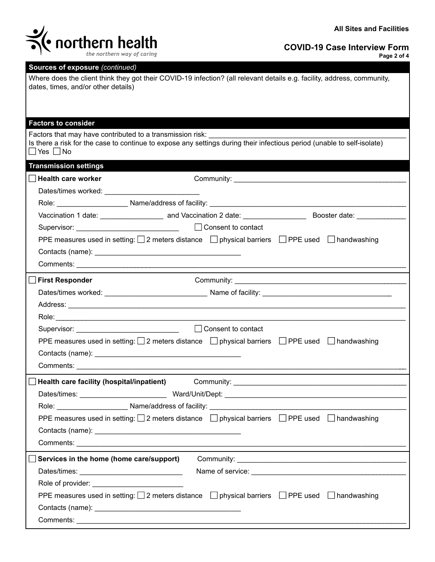

| <b>ITALIA DE LA PROPERTATION DE LA PROPERTATION DE LA PARTIE DE LA PARTIE DE LA PARTIE DE LA PARTIE DE LA PARTIE D</b><br>the northern way of caring                                                                          | <b>COVID-19 Case Interview Form</b><br>Page 2 of 4 |
|-------------------------------------------------------------------------------------------------------------------------------------------------------------------------------------------------------------------------------|----------------------------------------------------|
| Sources of exposure (continued)                                                                                                                                                                                               |                                                    |
| Where does the client think they got their COVID-19 infection? (all relevant details e.g. facility, address, community,<br>dates, times, and/or other details)                                                                |                                                    |
| <b>Factors to consider</b>                                                                                                                                                                                                    |                                                    |
| Factors that may have contributed to a transmission risk:<br>Is there a risk for the case to continue to expose any settings during their infectious period (unable to self-isolate)<br>$\Box$ Yes $\Box$ No                  |                                                    |
| <b>Transmission settings</b>                                                                                                                                                                                                  |                                                    |
| <b>Health care worker</b>                                                                                                                                                                                                     |                                                    |
| Dates/times worked: Note that the state of the state of the state of the state of the state of the state of the state of the state of the state of the state of the state of the state of the state of the state of the state |                                                    |
|                                                                                                                                                                                                                               |                                                    |
|                                                                                                                                                                                                                               | Booster date: ______________                       |
|                                                                                                                                                                                                                               |                                                    |
| PPE measures used in setting: $\Box$ 2 meters distance $\Box$ physical barriers $\Box$ PPE used $\Box$ handwashing                                                                                                            |                                                    |
|                                                                                                                                                                                                                               |                                                    |
|                                                                                                                                                                                                                               |                                                    |
| <b>First Responder</b>                                                                                                                                                                                                        |                                                    |
|                                                                                                                                                                                                                               |                                                    |
|                                                                                                                                                                                                                               |                                                    |
|                                                                                                                                                                                                                               |                                                    |
|                                                                                                                                                                                                                               |                                                    |
| PPE measures used in setting: $\Box$ 2 meters distance $\Box$ physical barriers $\Box$ PPE used $\Box$ handwashing                                                                                                            |                                                    |
|                                                                                                                                                                                                                               |                                                    |
| Comments:                                                                                                                                                                                                                     |                                                    |
| Health care facility (hospital/inpatient)                                                                                                                                                                                     |                                                    |
|                                                                                                                                                                                                                               |                                                    |
| Role: Name/address of facility:                                                                                                                                                                                               |                                                    |
| PPE measures used in setting: $\square$ 2 meters distance $\square$ physical barriers $\square$ PPE used $\square$ handwashing                                                                                                |                                                    |
|                                                                                                                                                                                                                               |                                                    |
|                                                                                                                                                                                                                               |                                                    |
| Services in the home (home care/support)                                                                                                                                                                                      |                                                    |
|                                                                                                                                                                                                                               |                                                    |
|                                                                                                                                                                                                                               |                                                    |
| PPE measures used in setting: $\Box$ 2 meters distance $\Box$ physical barriers $\Box$ PPE used $\Box$ handwashing                                                                                                            |                                                    |

Contacts (name): \_\_\_\_\_\_\_\_\_\_\_\_\_\_\_\_\_\_\_\_\_\_\_\_\_\_\_\_\_\_\_\_\_\_\_\_\_

Comments: \_\_\_\_\_\_\_\_\_\_\_\_\_\_\_\_\_\_\_\_\_\_\_\_\_\_\_\_\_\_\_\_\_\_\_\_\_\_\_\_\_\_\_\_\_\_\_\_\_\_\_\_\_\_\_\_\_\_\_\_\_\_\_\_\_\_\_\_\_\_\_\_\_\_\_\_\_\_\_\_\_\_\_\_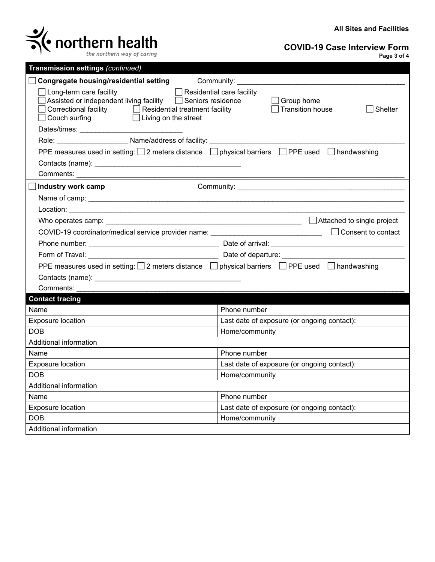

**COVID-19 Case Interview Form**

| Transmission settings (continued)                                                                                                                                                                                                                             |                                                                |  |  |  |
|---------------------------------------------------------------------------------------------------------------------------------------------------------------------------------------------------------------------------------------------------------------|----------------------------------------------------------------|--|--|--|
| Congregate housing/residential setting Community:                                                                                                                                                                                                             |                                                                |  |  |  |
| Residential care facility<br>$\Box$ Long-term care facility<br>Assisted or independent living facility □ Seniors residence<br>$\Box$ Correctional facility $\hfill\Box$ Residential treatment facility<br>$\Box$ Couch surfing<br>$\Box$ Living on the street | $\Box$ Group home<br>$\Box$ Transition house<br><b>Shelter</b> |  |  |  |
|                                                                                                                                                                                                                                                               |                                                                |  |  |  |
| Role: __________________________Name/address of facility: ______________________                                                                                                                                                                              |                                                                |  |  |  |
| PPE measures used in setting: 2 meters distance<br><br>□ physical barriers<br>□ PPE used □ handwashing                                                                                                                                                        |                                                                |  |  |  |
|                                                                                                                                                                                                                                                               |                                                                |  |  |  |
| Comments:                                                                                                                                                                                                                                                     |                                                                |  |  |  |
| Industry work camp                                                                                                                                                                                                                                            |                                                                |  |  |  |
|                                                                                                                                                                                                                                                               |                                                                |  |  |  |
|                                                                                                                                                                                                                                                               |                                                                |  |  |  |
|                                                                                                                                                                                                                                                               |                                                                |  |  |  |
| COVID-19 coordinator/medical service provider name: ____________________________                                                                                                                                                                              | $\Box$ Consent to contact                                      |  |  |  |
|                                                                                                                                                                                                                                                               |                                                                |  |  |  |
|                                                                                                                                                                                                                                                               |                                                                |  |  |  |
| PPE measures used in setting: $\square$ 2 meters distance $\square$ physical barriers $\square$ PPE used $\square$ handwashing                                                                                                                                |                                                                |  |  |  |
|                                                                                                                                                                                                                                                               |                                                                |  |  |  |
| Comments:                                                                                                                                                                                                                                                     |                                                                |  |  |  |
| <b>Contact tracing</b>                                                                                                                                                                                                                                        |                                                                |  |  |  |
| Name                                                                                                                                                                                                                                                          | Phone number                                                   |  |  |  |
| Exposure location                                                                                                                                                                                                                                             | Last date of exposure (or ongoing contact):                    |  |  |  |
| <b>DOB</b>                                                                                                                                                                                                                                                    | Home/community                                                 |  |  |  |
| Additional information                                                                                                                                                                                                                                        |                                                                |  |  |  |
| Name                                                                                                                                                                                                                                                          | Phone number                                                   |  |  |  |
| Exposure location                                                                                                                                                                                                                                             | Last date of exposure (or ongoing contact):                    |  |  |  |
| <b>DOB</b>                                                                                                                                                                                                                                                    | Home/community                                                 |  |  |  |
| Additional information                                                                                                                                                                                                                                        |                                                                |  |  |  |
| Name                                                                                                                                                                                                                                                          | Phone number                                                   |  |  |  |
| Exposure location                                                                                                                                                                                                                                             | Last date of exposure (or ongoing contact):                    |  |  |  |
| <b>DOB</b>                                                                                                                                                                                                                                                    | Home/community                                                 |  |  |  |
| Additional information                                                                                                                                                                                                                                        |                                                                |  |  |  |